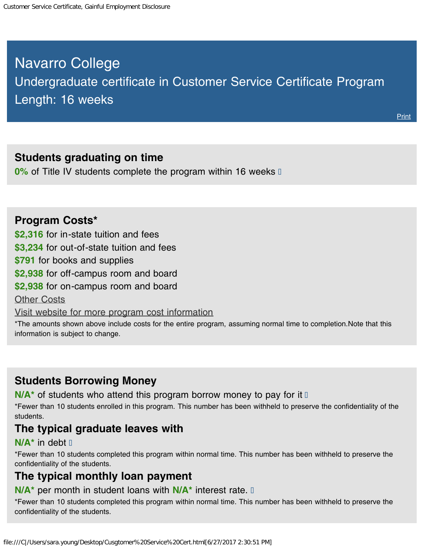# <span id="page-0-0"></span>Navarro College Undergraduate certificate in Customer Service Certificate Program Length: 16 weeks

#### **Students graduating on time**

**0%** of Title IV students complete the program within 16 weeks **0** 

#### **Program Costs\***

**\$2,316** for in-state tuition and fees

**\$3,234** for out-of-state tuition and fees

**\$791** for books and supplies

**\$2,938** for off-campus room and board

**\$2,938** for on-campus room and board

**[Other Costs](#page-0-0)** 

[Visit website for more program cost information](https://navarrocollege.smartcatalogiq.com/2017-2018/Catalog/Degree-and-Certificate-Programs/Business)

\*The amounts shown above include costs for the entire program, assuming normal time to completion.Note that this information is subject to change.

### **Students Borrowing Money**

**N/A<sup>\*</sup>** of students who attend this program borrow money to pay for it D

\*Fewer than 10 students enrolled in this program. This number has been withheld to preserve the confidentiality of the students.

#### **The typical graduate leaves with**

#### **N/A\*** in debt

\*Fewer than 10 students completed this program within normal time. This number has been withheld to preserve the confidentiality of the students.

### **The typical monthly loan payment**

#### **N/A\*** per month in student loans with **N/A\*** interest rate.

\*Fewer than 10 students completed this program within normal time. This number has been withheld to preserve the confidentiality of the students.